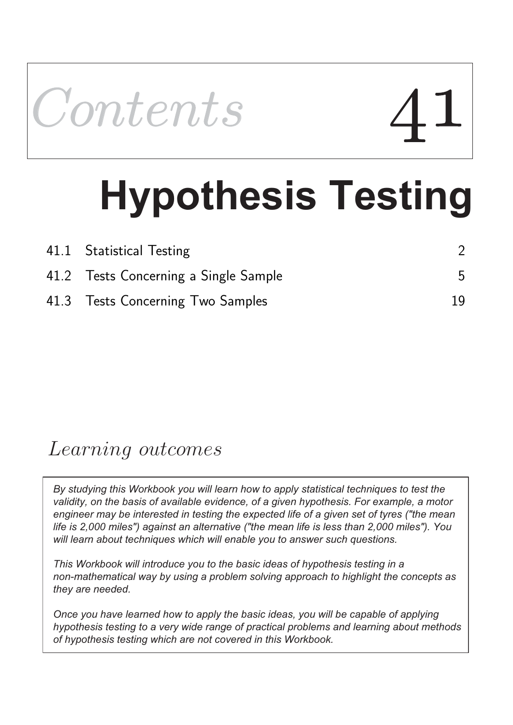

# **Hypothesis Testing**

| 41.1 Statistical Testing              |    |
|---------------------------------------|----|
| 41.2 Tests Concerning a Single Sample | .5 |
| 41.3 Tests Concerning Two Samples     | 19 |

## Learning outcomes

*By studying this Workbook you will learn how to apply statistical techniques to test the validity, on the basis of available evidence, of a given hypothesis. For example, a motor engineer may be interested in testing the expected life of a given set of tyres ("the mean life is 2,000 miles") against an alternative ("the mean life is less than 2,000 miles"). You will learn about techniques which will enable you to answer such questions.*

*This Workbook will introduce you to the basic ideas of hypothesis testing in a non-mathematical way by using a problem solving approach to highlight the concepts as they are needed.* 

*Once you have learned how to apply the basic ideas, you will be capable of applying hypothesis testing to a very wide range of practical problems and learning about methods of hypothesis testing which are not covered in this Workbook.*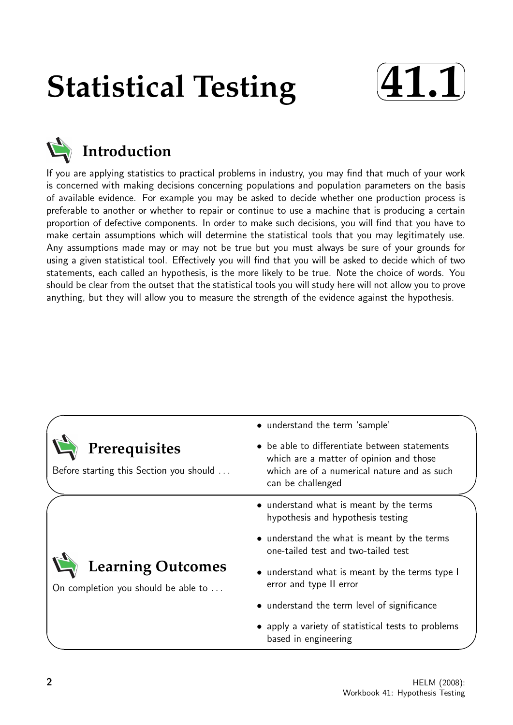# **Statistical Testing**





### **Introduction**

If you are applying statistics to practical problems in industry, you may find that much of your work is concerned with making decisions concerning populations and population parameters on the basis of available evidence. For example you may be asked to decide whether one production process is preferable to another or whether to repair or continue to use a machine that is producing a certain proportion of defective components. In order to make such decisions, you will find that you have to make certain assumptions which will determine the statistical tools that you may legitimately use. Any assumptions made may or may not be true but you must always be sure of your grounds for using a given statistical tool. Effectively you will find that you will be asked to decide which of two statements, each called an hypothesis, is the more likely to be true. Note the choice of words. You should be clear from the outset that the statistical tools you will study here will not allow you to prove anything, but they will allow you to measure the strength of the evidence against the hypothesis.

|                                                                 | • understand the term 'sample'                                                                                                                               |
|-----------------------------------------------------------------|--------------------------------------------------------------------------------------------------------------------------------------------------------------|
| Prerequisites<br>Before starting this Section you should        | • be able to differentiate between statements<br>which are a matter of opinion and those<br>which are of a numerical nature and as such<br>can be challenged |
|                                                                 | • understand what is meant by the terms<br>hypothesis and hypothesis testing                                                                                 |
|                                                                 | • understand the what is meant by the terms<br>one-tailed test and two-tailed test                                                                           |
| <b>Learning Outcomes</b><br>On completion you should be able to | • understand what is meant by the terms type I<br>error and type II error                                                                                    |
|                                                                 | • understand the term level of significance                                                                                                                  |
|                                                                 | • apply a variety of statistical tests to problems<br>based in engineering                                                                                   |
|                                                                 |                                                                                                                                                              |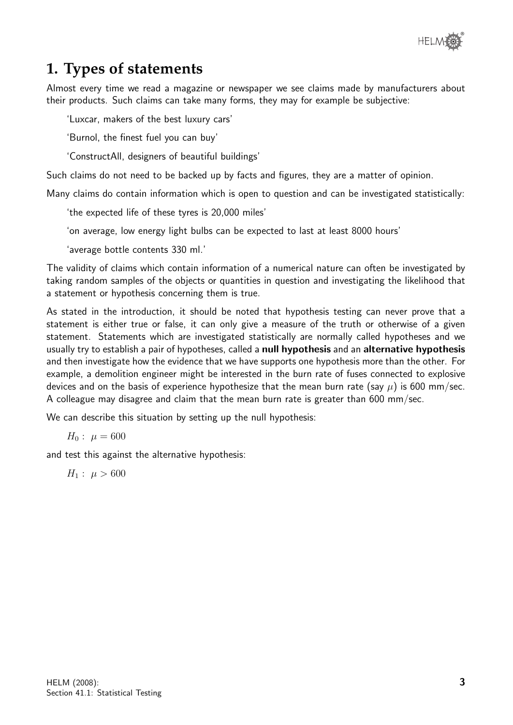

#### **1. Types of statements**

Almost every time we read a magazine or newspaper we see claims made by manufacturers about their products. Such claims can take many forms, they may for example be subjective:

'Luxcar, makers of the best luxury cars'

'Burnol, the finest fuel you can buy'

'ConstructAll, designers of beautiful buildings'

Such claims do not need to be backed up by facts and figures, they are a matter of opinion.

Many claims do contain information which is open to question and can be investigated statistically:

'the expected life of these tyres is 20,000 miles'

'on average, low energy light bulbs can be expected to last at least 8000 hours'

'average bottle contents 330 ml.'

The validity of claims which contain information of a numerical nature can often be investigated by taking random samples of the objects or quantities in question and investigating the likelihood that a statement or hypothesis concerning them is true.

As stated in the introduction, it should be noted that hypothesis testing can never prove that a statement is either true or false, it can only give a measure of the truth or otherwise of a given statement. Statements which are investigated statistically are normally called hypotheses and we usually try to establish a pair of hypotheses, called a null hypothesis and an alternative hypothesis and then investigate how the evidence that we have supports one hypothesis more than the other. For example, a demolition engineer might be interested in the burn rate of fuses connected to explosive devices and on the basis of experience hypothesize that the mean burn rate (say  $\mu$ ) is 600 mm/sec. A colleague may disagree and claim that the mean burn rate is greater than 600 mm/sec.

We can describe this situation by setting up the null hypothesis:

 $H_0: \mu = 600$ 

and test this against the alternative hypothesis:

 $H_1$ :  $\mu > 600$